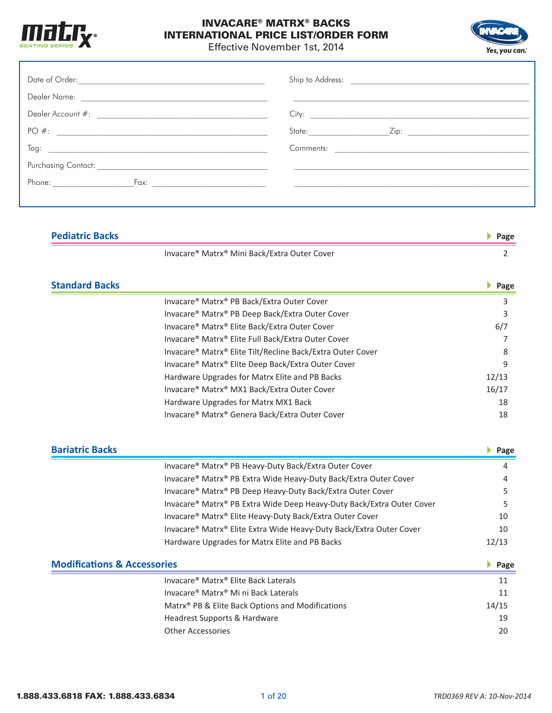



Effective November 1st, 2014

|                                        | <u> 1989 - Jan Barbara Barat, martin da basar da basar da basar da basar da basar da basar da basar da basar</u> |                            |  |  |
|----------------------------------------|------------------------------------------------------------------------------------------------------------------|----------------------------|--|--|
|                                        |                                                                                                                  |                            |  |  |
|                                        |                                                                                                                  |                            |  |  |
|                                        |                                                                                                                  |                            |  |  |
| <b>Pediatric Backs</b>                 |                                                                                                                  | Page                       |  |  |
|                                        | Invacare® Matrx® Mini Back/Extra Outer Cover                                                                     | 2                          |  |  |
| <b>Standard Backs</b>                  |                                                                                                                  | Page                       |  |  |
|                                        | Invacare® Matrx® PB Back/Extra Outer Cover                                                                       | 3                          |  |  |
|                                        | Invacare® Matrx® PB Deep Back/Extra Outer Cover                                                                  | 3                          |  |  |
|                                        | Invacare® Matrx® Elite Back/Extra Outer Cover                                                                    | 6/7                        |  |  |
|                                        | Invacare® Matrx® Elite Full Back/Extra Outer Cover                                                               | 7                          |  |  |
|                                        | Invacare® Matrx® Elite Tilt/Recline Back/Extra Outer Cover                                                       | 8                          |  |  |
|                                        | Invacare® Matrx® Elite Deep Back/Extra Outer Cover                                                               | 9                          |  |  |
|                                        | Hardware Upgrades for Matrx Elite and PB Backs                                                                   | 12/13                      |  |  |
|                                        | Invacare® Matrx® MX1 Back/Extra Outer Cover                                                                      | 16/17                      |  |  |
|                                        | Hardware Upgrades for Matrx MX1 Back                                                                             | 18                         |  |  |
|                                        | Invacare® Matrx® Genera Back/Extra Outer Cover                                                                   | 18                         |  |  |
| <b>Bariatric Backs</b>                 |                                                                                                                  | $\blacktriangleright$ Page |  |  |
|                                        | Invacare® Matrx® PB Heavy-Duty Back/Extra Outer Cover                                                            | 4                          |  |  |
|                                        | Invacare® Matrx® PB Extra Wide Heavy-Duty Back/Extra Outer Cover                                                 | Δ                          |  |  |
|                                        | Invacare® Matrx® PB Deep Heavy-Duty Back/Extra Outer Cover                                                       | 5                          |  |  |
|                                        | Invacare® Matrx® PB Extra Wide Deep Heavy-Duty Back/Extra Outer Cover                                            | 5                          |  |  |
|                                        | Invacare® Matrx® Elite Heavy-Duty Back/Extra Outer Cover                                                         | 10                         |  |  |
|                                        | Invacare® Matrx® Elite Extra Wide Heavy-Duty Back/Extra Outer Cover                                              | 10                         |  |  |
|                                        | Hardware Upgrades for Matrx Elite and PB Backs                                                                   | 12/13                      |  |  |
| <b>Modifications &amp; Accessories</b> |                                                                                                                  | Page                       |  |  |
|                                        | Invacare® Matrx® Elite Back Laterals                                                                             | 11                         |  |  |
|                                        | Invacare® Matrx® Mi ni Back Laterals                                                                             | 11                         |  |  |
|                                        | Matrx <sup>®</sup> PB & Elite Back Options and Modifications                                                     | 14/15                      |  |  |
|                                        | Headrest Supports & Hardware                                                                                     | 19                         |  |  |

Other Accessories 20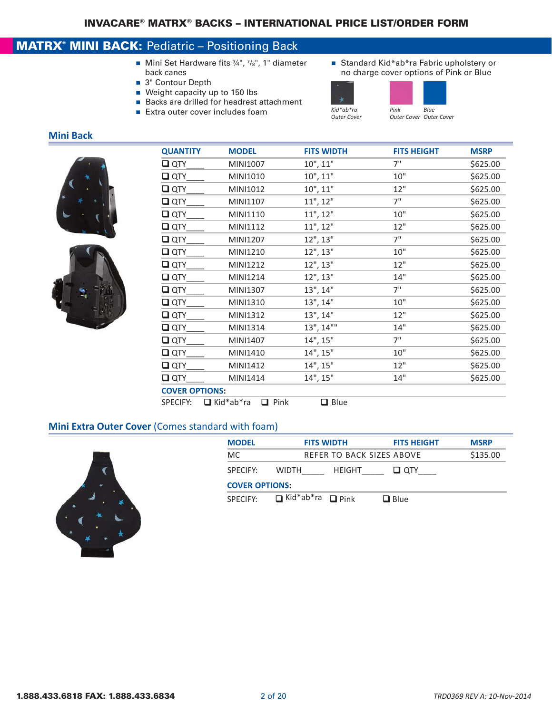### MATRX® MINI BACK: Pediatric – Positioning Back

- Mini Set Hardware fits ¾", 7/8", 1" diameter back canes
- 3" Contour Depth
- $\blacksquare$  Weight capacity up to 150 lbs
- Backs are drilled for headrest attachment
- Extra outer cover includes foam *Kid\*ab\*ra*
- Standard Kid\*ab\*ra Fabric upholstery or no charge cover options of Pink or Blue





*Outer Cover Outer Cover*

#### **Mini Back**





| <b>MODEL</b>                    | <b>FITS WIDTH</b> | <b>FITS HEIGHT</b> | <b>MSRP</b> |
|---------------------------------|-------------------|--------------------|-------------|
| MINI1007                        | 10", 11"          | 7"                 | \$625.00    |
| MINI1010                        | 10", 11"          | 10"                | \$625.00    |
| MINI1012                        | 10", 11"          | 12"                | \$625.00    |
| MINI1107                        | 11", 12"          | 7"                 | \$625.00    |
| MINI1110                        | 11", 12"          | 10"                | \$625.00    |
| MINI1112                        | 11", 12"          | 12"                | \$625.00    |
| MINI1207                        | 12", 13"          | 7"                 | \$625.00    |
| MINI1210                        | 12", 13"          | 10"                | \$625.00    |
| MINI1212                        | 12", 13"          | 12"                | \$625.00    |
| MINI1214                        | 12", 13"          | 14"                | \$625.00    |
| MINI1307                        | 13", 14"          | 7"                 | \$625.00    |
| MINI1310                        | 13", 14"          | 10"                | \$625.00    |
| MINI1312                        | 13", 14"          | 12"                | \$625.00    |
| MINI1314                        | 13", 14""         | 14"                | \$625.00    |
| MINI1407                        | 14", 15"          | 7"                 | \$625.00    |
| MINI1410                        | 14", 15"          | 10"                | \$625.00    |
| MINI1412                        | 14", 15"          | 12"                | \$625.00    |
| MINI1414                        | 14", 15"          | 14"                | \$625.00    |
| <b>COVER OPTIONS:</b>           |                   |                    |             |
| $\Box$ Pink<br>$\Box$ Kid*ab*ra | Blue<br>◻         |                    |             |
|                                 |                   |                    |             |

#### **Mini Extra Outer Cover** (Comes standard with foam)



| <b>MODEL</b>          | <b>FITS WIDTH</b>                | <b>FITS HEIGHT</b> | <b>MSRP</b> |
|-----------------------|----------------------------------|--------------------|-------------|
| МC                    | <b>REFER TO BACK SIZES ABOVE</b> |                    | \$135.00    |
| SPECIFY:              | HEIGHT<br><b>WIDTH</b>           | $\Box$ $\Box$      |             |
| <b>COVER OPTIONS:</b> |                                  |                    |             |
| <b>SPECIEY</b>        | $\Box$ Kid*ab*ra $\Box$ Pink     | $\Box$ Blue        |             |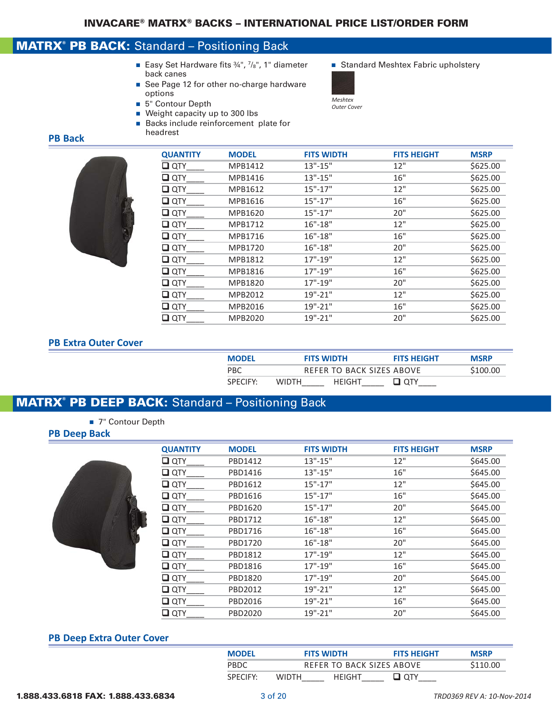### MATRX® PB BACK: Standard – Positioning Back

- Easy Set Hardware fits  $\frac{3}{4}$ ",  $\frac{7}{8}$ ", 1" diameter <br>
Standard Meshtex Fabric upholstery back canes
- See Page 12 for other no-charge hardware options
- 5" Contour Depth
- Weight capacity up to 300 lbs
- Backs include reinforcement plate for headrest

#### **PB Back**



| <b>QUANTITY</b> | <b>MODEL</b> | <b>FITS WIDTH</b> | <b>FITS HEIGHT</b> | <b>MSRP</b> |
|-----------------|--------------|-------------------|--------------------|-------------|
| $\square$ QTY   | MPB1412      | $13" - 15"$       | 12"                | \$625.00    |
| $\square$ QTY   | MPB1416      | $13" - 15"$       | 16"                | \$625.00    |
| $\square$ QTY   | MPB1612      | $15" - 17"$       | 12"                | \$625.00    |
| $\square$ QTY   | MPB1616      | $15" - 17"$       | 16"                | \$625.00    |
| $\square$ QTY   | MPB1620      | $15" - 17"$       | 20"                | \$625.00    |
| $\square$ QTY   | MPB1712      | $16" - 18"$       | 12"                | \$625.00    |
| $\square$ QTY   | MPB1716      | $16" - 18"$       | 16"                | \$625.00    |
| $\square$ QTY   | MPB1720      | $16" - 18"$       | 20"                | \$625.00    |
| $\square$ QTY   | MPB1812      | $17" - 19"$       | 12"                | \$625.00    |
| $\square$ QTY   | MPB1816      | 17"-19"           | 16"                | \$625.00    |
| $\square$ QTY   | MPB1820      | $17" - 19"$       | 20"                | \$625.00    |
| $\square$ QTY   | MPB2012      | $19" - 21"$       | 12"                | \$625.00    |
| $\square$ QTY   | MPB2016      | 19"-21"           | 16"                | \$625.00    |
| $\square$ QTY   | MPB2020      | 19"-21"           | 20"                | \$625.00    |

#### **PB Extra Outer Cover**

| <b>MODEL</b>         |              | <b>FITS WIDTH</b> | <b>FITS HEIGHT</b>        | <b>MSRP</b> |
|----------------------|--------------|-------------------|---------------------------|-------------|
| <b>PBC</b>           |              |                   | REFER TO BACK SIZES ABOVE | \$100.00    |
| SPECIEY <sup>.</sup> | <b>WIDTH</b> | <b>HFIGHT</b>     | ידס <b>ב</b>              |             |

### MATRX® PB DEEP BACK: Standard – Positioning Back

■ 7" Contour Depth

#### **PB Deep Back**



| <b>QUANTITY</b> | <b>MODEL</b> | <b>FITS WIDTH</b> | <b>FITS HEIGHT</b> | <b>MSRP</b> |
|-----------------|--------------|-------------------|--------------------|-------------|
| $\square$ QTY   | PBD1412      | $13" - 15"$       | 12"                | \$645.00    |
| $\Box$ QTY      | PBD1416      | $13" - 15"$       | 16"                | \$645.00    |
| $\Box$ QTY      | PBD1612      | $15" - 17"$       | 12"                | \$645.00    |
| $\Box$ QTY      | PBD1616      | $15" - 17"$       | 16"                | \$645.00    |
| $\Box$ QTY      | PBD1620      | $15" - 17"$       | 20"                | \$645.00    |
| $\Box$ QTY      | PBD1712      | $16" - 18"$       | 12"                | \$645.00    |
| $\square$ QTY   | PBD1716      | $16" - 18"$       | 16"                | \$645.00    |
| $\Box$ QTY      | PBD1720      | $16" - 18"$       | 20"                | \$645.00    |
| $\Box$ QTY      | PBD1812      | 17"-19"           | 12"                | \$645.00    |
| $\square$ QTY   | PBD1816      | $17" - 19"$       | 16"                | \$645.00    |
| $\Box$ QTY      | PBD1820      | $17" - 19"$       | 20"                | \$645.00    |
| $\Box$ QTY      | PBD2012      | 19"-21"           | 12"                | \$645.00    |
| $\square$ QTY   | PBD2016      | 19"-21"           | 16"                | \$645.00    |
| $\Box$ QTY      | PBD2020      | 19"-21"           | 20"                | \$645.00    |
|                 |              |                   |                    |             |

#### **PB Deep Extra Outer Cover**

| <b>MODEL</b>   |       | <b>FITS WIDTH</b>         | <b>FITS HEIGHT</b> | <b>MSRP</b> |
|----------------|-------|---------------------------|--------------------|-------------|
| PBDC           |       | REFER TO BACK SIZES ABOVE |                    | \$110.00    |
| <b>SPECIEY</b> | WIDTH | HFIGHT                    |                    |             |

- 
- *Meshtex Outer Cover*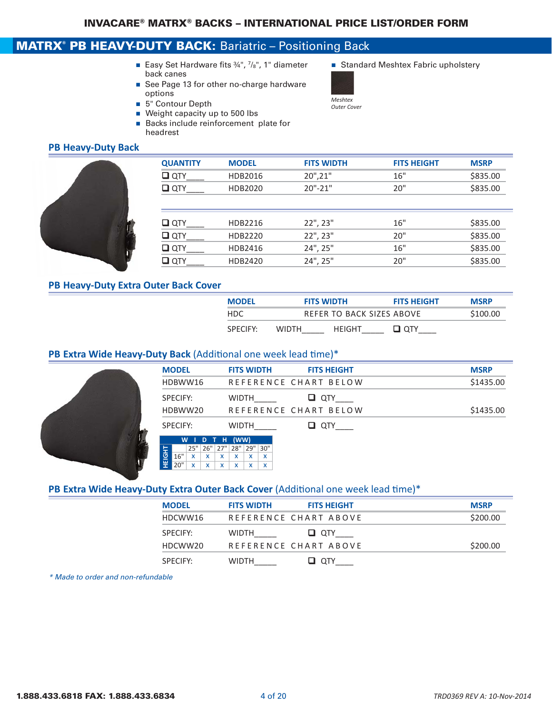### MATRX<sup>®</sup> PB HEAVY-DUTY BACK: Bariatric - Positioning Back

- Easy Set Hardware fits 34", 7/8", 1" diameter Standard Meshtex Fabric upholstery back canes
- See Page 13 for other no-charge hardware options
- 5" Contour Depth
- Weight capacity up to 500 lbs
- Backs include reinforcement plate for headrest

### **PB Heavy‐Duty Back**



| <b>QUANTITY</b> | <b>MODEL</b> | <b>FITS WIDTH</b> | <b>FITS HEIGHT</b> | <b>MSRP</b> |
|-----------------|--------------|-------------------|--------------------|-------------|
| $\Box$ QTY      | HDB2016      | 20",21"           | 16"                | \$835.00    |
| $\Box$ QTY      | HDB2020      | $20" - 21"$       | 20"                | \$835.00    |
|                 |              |                   |                    |             |
|                 |              |                   |                    |             |
| $\Box$ QTY      | HDB2216      | 22", 23"          | 16"                | \$835.00    |
| $\square$ QTY   | HDB2220      | 22", 23"          | 20"                | \$835.00    |
| $\Box$ QTY      | HDB2416      | 24", 25"          | 16"                | \$835.00    |
| $\Box$ QTY      | HDB2420      | 24", 25"          | 20"                | \$835.00    |

#### **PB Heavy‐Duty Extra Outer Back Cover**

| <b>MODEL</b> |              | <b>FITS WIDTH</b>         | <b>FITS HEIGHT</b> | <b>MSRP</b> |
|--------------|--------------|---------------------------|--------------------|-------------|
| HDC.         |              | REFER TO BACK SIZES ABOVE |                    | \$100.00    |
| SPECIFY:     | <b>WIDTH</b> | HFIGHT                    | ⊒ oтʏ              |             |

#### **PB Extra Wide Heavy‐Duty Back** (Additional one week lead time)\*

|        | <b>MODEL</b> |              |              |   |              |     | <b>FITS WIDTH</b> | <b>FITS HEIGHT</b>    | <b>MSRP</b> |
|--------|--------------|--------------|--------------|---|--------------|-----|-------------------|-----------------------|-------------|
|        | HDBWW16      |              |              |   |              |     |                   | REFERENCE CHART BELOW | \$1435.00   |
|        | SPECIFY:     |              |              |   | <b>WIDTH</b> |     |                   | QTY<br>u              |             |
|        | HDBWW20      |              |              |   |              |     |                   | REFERENCE CHART BELOW | \$1435.00   |
|        | SPECIFY:     |              |              |   | <b>WIDTH</b> |     |                   | QTY<br>ப              |             |
|        | W            |              | D            | н | (WW)         |     |                   |                       |             |
|        |              | 25"          | $26"$ 27"    |   | 28"          | 29" | 30"               |                       |             |
| HEIGHT | 16"          | $\mathbf{x}$ | $\mathbf{x}$ | x | $\mathbf{x}$ | x   | x                 |                       |             |
|        | 20"          | x            | X            | X | X            | x   | X                 |                       |             |

#### PB Extra Wide Heavy-Duty Extra Outer Back Cover (Additional one week lead time)\*

| <b>MODEL</b> | <b>FITS WIDTH</b>     | <b>FITS HEIGHT</b> | <b>MSRP</b> |
|--------------|-----------------------|--------------------|-------------|
| HDCWW16      | REFERENCE CHART ABOVE |                    | \$200.00    |
| SPECIEY:     | <b>WIDTH</b>          | $\Box$ $\alpha$ ty |             |
| HDCWW20      | REFERENCE CHART ABOVE |                    | \$200.00    |
| SPECIEY:     | <b>WIDTH</b>          | ⊔ отү              |             |

*\* Made to order and non-refundable*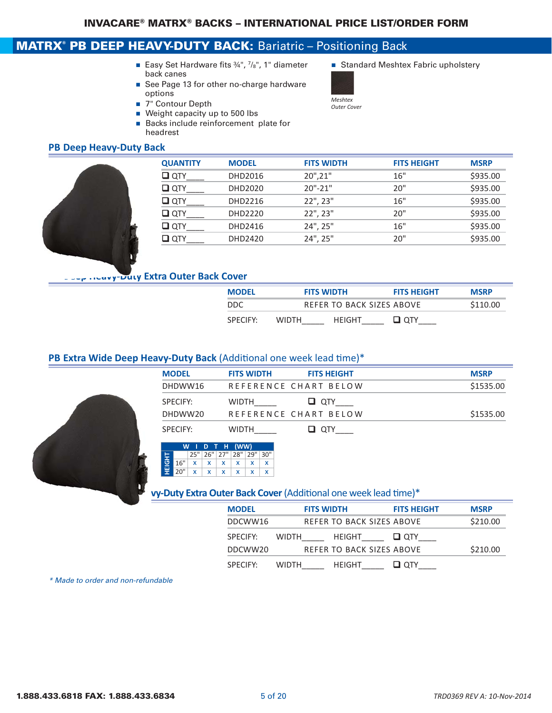### MATRX<sup>®</sup> PB DEEP HEAVY-DUTY BACK: Bariatric - Positioning Back

- Easy Set Hardware fits 34", 7/8", 1" diameter Standard Meshtex Fabric upholstery back canes
- See Page 13 for other no-charge hardware options
- 7" Contour Depth
- Weight capacity up to 500 lbs
- **Backs include reinforcement plate for** headrest

#### **PB Deep Heavy‐Duty Back**



| <b>QUANTITY</b> | <b>MODEL</b> | <b>FITS WIDTH</b> | <b>FITS HEIGHT</b> | <b>MSRP</b> |
|-----------------|--------------|-------------------|--------------------|-------------|
| $\Box$ QTY      | DHD2016      | $20$ ", $21$ "    | 16"                | \$935.00    |
| $\square$ QTY   | DHD2020      | $20" - 21"$       | 20"                | \$935.00    |
| $\Box$ QTY      | DHD2216      | 22", 23"          | 16"                | \$935.00    |
| $\Box$ QTY      | DHD2220      | 22", 23"          | 20"                | \$935.00    |
| $\Box$ QTY      | DHD2416      | 24", 25"          | 16"                | \$935.00    |
| $\Box$ QTY      | DHD2420      | 24", 25"          | 20"                | \$935.00    |

#### **Pp …Duvy-Duty Extra Outer Back Cover**

| <b>MODEL</b>         |              | <b>FITS WIDTH</b>         | <b>FITS HEIGHT</b> | <b>MSRP</b> |
|----------------------|--------------|---------------------------|--------------------|-------------|
| DDC.                 |              | REFER TO BACK SIZES ABOVE |                    | \$110.00    |
| SPECIEY <sup>.</sup> | <b>WIDTH</b> | <b>HFIGHT</b>             | ⊔ отү              |             |

#### PB Extra Wide Deep Heavy-Duty Back (Additional one week lead time)\*

| <b>MODEL</b> | <b>FITS WIDTH</b> | <b>FITS HEIGHT</b>    | <b>MSRP</b> |
|--------------|-------------------|-----------------------|-------------|
| DHDWW16      |                   | REFERENCE CHART BELOW | \$1535.00   |
| SPECIEY:     | <b>WIDTH</b>      | $\Box$ $\alpha$ ty    |             |
| DHDWW20      |                   | REFERENCE CHART BELOW | \$1535.00   |
| SPECIFY:     | <b>WIDTH</b>      | OTY                   |             |



#### **vy-Duty Extra Outer Back Cover** (Additional one week lead time)\*

| <b>MODEL</b> | <b>FITS WIDTH</b>             | <b>FITS HEIGHT</b> | <b>MSRP</b> |
|--------------|-------------------------------|--------------------|-------------|
| DDCWW16      | REFER TO BACK SIZES ABOVE     |                    | \$210.00    |
| SPECIFY:     | <b>WIDTH</b><br><b>HEIGHT</b> | $\Box$ OTY         |             |
| DDCWW20      | REFER TO BACK SIZES ABOVE     |                    | \$210.00    |
| SPECIFY:     | <b>HFIGHT</b><br>WIDTH        |                    |             |

*\* Made to order and non-refundable*

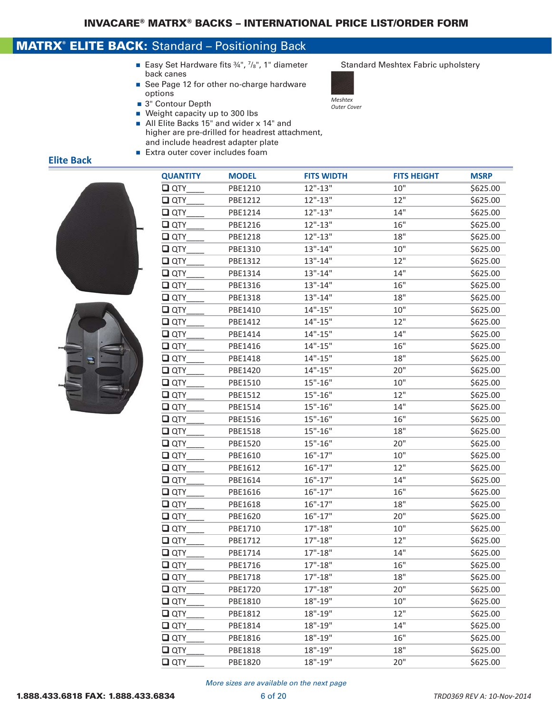### MATRX® ELITE BACK: Standard – Positioning Back

- Easy Set Hardware fits ¾", 7/8", 1" diameter Standard Meshtex Fabric upholstery back canes
- See Page 12 for other no-charge hardware options
- 3" Contour Depth
- Weight capacity up to 300 lbs
- All Elite Backs 15" and wider x 14" and higher are pre-drilled for headrest attachment, and include headrest adapter plate
- $\blacksquare$  Extra outer cover includes foam

### **Elite Back**





| <b>QUANTITY</b> | <b>MODEL</b> | <b>FITS WIDTH</b> | <b>FITS HEIGHT</b> | <b>MSRP</b> |
|-----------------|--------------|-------------------|--------------------|-------------|
| $\square$ QTY   | PBE1210      | $12" - 13"$       | 10"                | \$625.00    |
| $\Box$ QTY      | PBE1212      | $12" - 13"$       | 12"                | \$625.00    |
| $\Box$ QTY      | PBE1214      | $12" - 13"$       | 14"                | \$625.00    |
| $\Box$ QTY      | PBE1216      | $12" - 13"$       | 16"                | \$625.00    |
| $\square$ QTY   | PBE1218      | $12" - 13"$       | 18"                | \$625.00    |
| $\square$ QTY   | PBE1310      | $13" - 14"$       | 10"                | \$625.00    |
| $\Box$ QTY      | PBE1312      | $13" - 14"$       | 12"                | \$625.00    |
| $\square$ QTY   | PBE1314      | $13" - 14"$       | 14"                | \$625.00    |
| $\square$ QTY   | PBE1316      | $13" - 14"$       | 16"                | \$625.00    |
| $\square$ QTY   | PBE1318      | $13" - 14"$       | 18"                | \$625.00    |
| $\Box$ QTY      | PBE1410      | $14" - 15"$       | 10"                | \$625.00    |
| $\square$ QTY   | PBE1412      | $14" - 15"$       | 12"                | \$625.00    |
| $\square$ QTY   | PBE1414      | $14" - 15"$       | 14"                | \$625.00    |
| $\square$ QTY   | PBE1416      | $14" - 15"$       | 16"                | \$625.00    |
| $\Box$ QTY      | PBE1418      | $14" - 15"$       | 18"                | \$625.00    |
| $\square$ QTY   | PBE1420      | $14" - 15"$       | 20"                | \$625.00    |
| $\square$ QTY   | PBE1510      | $15" - 16"$       | 10"                | \$625.00    |
| $\Box$ QTY      | PBE1512      | $15" - 16"$       | 12"                | \$625.00    |
| $\Box$ QTY      | PBE1514      | $15" - 16"$       | 14"                | \$625.00    |
| $\square$ QTY   | PBE1516      | $15" - 16"$       | 16"                | \$625.00    |
| $\square$ QTY   | PBE1518      | $15" - 16"$       | 18"                | \$625.00    |
| $\square$ QTY   | PBE1520      | $15" - 16"$       | 20"                | \$625.00    |
| $\Box$ QTY      | PBE1610      | $16" - 17"$       | 10"                | \$625.00    |
| $\square$ QTY   | PBE1612      | $16" - 17"$       | 12"                | \$625.00    |
| $\square$ QTY   | PBE1614      | $16" - 17"$       | 14"                | \$625.00    |
| $\square$ QTY   | PBE1616      | $16" - 17"$       | 16"                | \$625.00    |
| $\Box$ QTY      | PBE1618      | $16" - 17"$       | 18"                | \$625.00    |
| $\square$ QTY   | PBE1620      | $16" - 17"$       | 20"                | \$625.00    |
| $\square$ QTY   | PBE1710      | $17" - 18"$       | 10"                | \$625.00    |
| $\square$ QTY   | PBE1712      | $17" - 18"$       | 12"                | \$625.00    |
| $\Box$ QTY      | PBE1714      | $17" - 18"$       | 14"                | \$625.00    |
| $\Box$ QTY      | PBE1716      | $17" - 18"$       | 16"                | \$625.00    |
| $\square$ QTY   | PBE1718      | $17" - 18"$       | 18"                | \$625.00    |
| $\square$ QTY   | PBE1720      | $17" - 18"$       | 20"                | \$625.00    |
| $\Box$ QTY      | PBE1810      | $18" - 19"$       | 10"                | \$625.00    |
| $\square$ QTY   | PBE1812      | 18"-19"           | 12"                | \$625.00    |
| $\square$ QTY   | PBE1814      | 18"-19"           | 14"                | \$625.00    |
| $\square$ QTY   | PBE1816      | 18"-19"           | 16"                | \$625.00    |
| $\square$ QTY   | PBE1818      | 18"-19"           | 18"                | \$625.00    |
| $\square$ QTY   | PBE1820      | 18"-19"           | 20"                | \$625.00    |
|                 |              |                   |                    |             |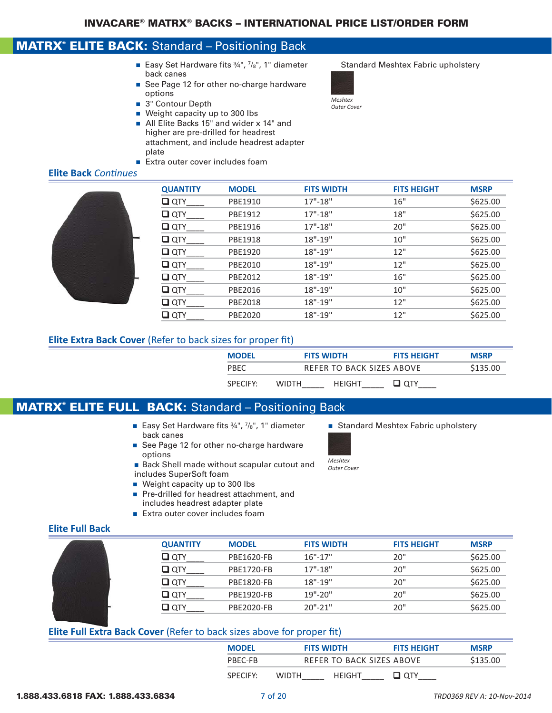### MATRX® ELITE BACK: Standard – Positioning Back

- Easy Set Hardware fits 34", 7/8", 1" diameter Standard Meshtex Fabric upholstery back canes
- See Page 12 for other no-charge hardware options
- 3" Contour Depth
- Weight capacity up to 300 lbs
- All Elite Backs 15" and wider x 14" and higher are pre-drilled for headrest attachment, and include headrest adapter plate
- $\blacksquare$  Extra outer cover includes foam

#### **Elite Back** *Continues*



| <b>QUANTITY</b> | <b>MODEL</b> | <b>FITS WIDTH</b> | <b>FITS HEIGHT</b> | <b>MSRP</b> |
|-----------------|--------------|-------------------|--------------------|-------------|
| $\square$ QTY   | PBE1910      | $17" - 18"$       | 16"                | \$625.00    |
| $\square$ QTY   | PBE1912      | $17" - 18"$       | 18"                | \$625.00    |
| $\Box$ QTY      | PBE1916      | $17" - 18"$       | 20"                | \$625.00    |
| $\square$ QTY   | PBE1918      | $18" - 19"$       | 10"                | \$625.00    |
| $\square$ QTY   | PBE1920      | $18" - 19"$       | 12"                | \$625.00    |
| $\square$ QTY   | PBE2010      | $18" - 19"$       | 12"                | \$625.00    |
| $\square$ QTY   | PBE2012      | $18" - 19"$       | 16"                | \$625.00    |
| $\square$ QTY   | PBE2016      | $18" - 19"$       | 10"                | \$625.00    |
| $\Box$ QTY      | PBE2018      | $18" - 19"$       | 12"                | \$625.00    |
| $\square$ QTY   | PBE2020      | 18"-19"           | 12"                | \$625.00    |
|                 |              |                   |                    |             |

#### **Elite Extra Back Cover** (Refer to back sizes for proper fit)

| <b>MODFI</b>         |              | <b>FITS WIDTH</b>         | <b>FITS HEIGHT</b> | <b>MSRP</b> |
|----------------------|--------------|---------------------------|--------------------|-------------|
| <b>PRFC</b>          |              | REFER TO BACK SIZES ABOVE |                    | \$135.00    |
| SPECIEY <sup>.</sup> | <b>WIDTH</b> | HFIGHT                    | $\blacksquare$     |             |

### MATRX® ELITE FULL BACK: Standard – Positioning Back

- Easy Set Hardware fits 34", 7/8", 1" diameter Standard Meshtex Fabric upholstery back canes
- See Page 12 for other no-charge hardware options
- Back Shell made without scapular cutout and includes SuperSoft foam
- $\blacksquare$  Weight capacity up to 300 lbs
- Pre-drilled for headrest attachment, and includes headrest adapter plate
- $\blacksquare$  Extra outer cover includes foam

*Meshtex Outer Cover*

#### **Elite Full Back**

| <b>QUANTITY</b> | <b>MODEL</b>      | <b>FITS WIDTH</b> | <b>FITS HEIGHT</b> | <b>MSRP</b> |
|-----------------|-------------------|-------------------|--------------------|-------------|
| $\square$ QTY   | PBE1620-FB        | $16" - 17"$       | 20"                | \$625.00    |
| $\square$ QTY   | <b>PBE1720-FB</b> | $17" - 18"$       | 20"                | \$625.00    |
| $\square$ QTY   | <b>PBE1820-FB</b> | $18" - 19"$       | 20"                | \$625.00    |
| $\square$ OTY   | <b>PBE1920-FB</b> | $19" - 20"$       | 20"                | \$625.00    |
| ⊔ отү           | PBE2020-FB        | $20" - 21"$       | 20"                | \$625.00    |

#### **Elite Full Extra Back Cover** (Refer to back sizes above for proper fit)

| <b>MODEL</b> | <b>FITS WIDTH</b> |                           | <b>FITS HEIGHT</b> | <b>MSRP</b> |
|--------------|-------------------|---------------------------|--------------------|-------------|
| PBFC-FB      |                   | REFER TO BACK SIZES ABOVE |                    | \$135.00    |
| SPECIEY:     | <b>WIDTH</b>      | <b>HEIGHT</b>             | ⊔ отү              |             |

#### 1.888.433.6818 FAX: 1.888.433.6834 7 of 20 *TRD0369 REV A: 10‐Nov‐2014*

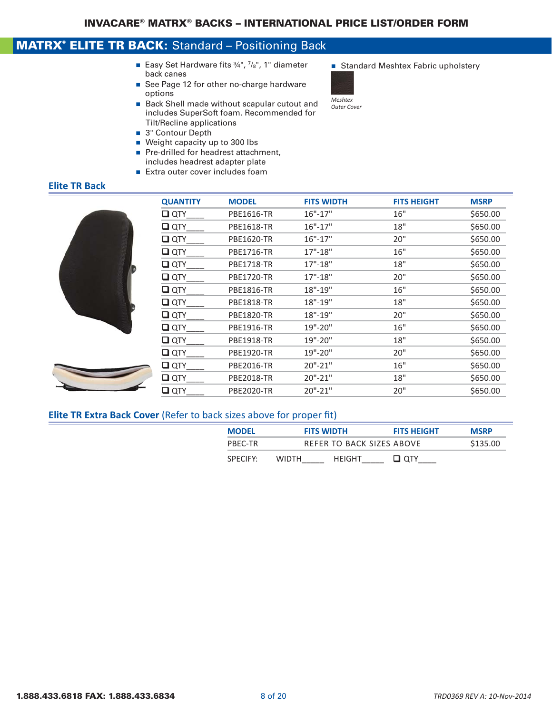### MATRX® ELITE TR BACK: Standard – Positioning Back

- Easy Set Hardware fits  $\frac{3}{4}$ ",  $\frac{7}{8}$ ", 1" diameter  $\qquad \blacksquare$  Standard Meshtex Fabric upholstery back canes
- See Page 12 for other no-charge hardware options
- Back Shell made without scapular cutout and includes SuperSoft foam. Recommended for Tilt/Recline applications
- 3" Contour Depth
- $\blacksquare$  Weight capacity up to 300 lbs
- Pre-drilled for headrest attachment. includes headrest adapter plate
- $\blacksquare$  Extra outer cover includes foam

*Meshtex Outer Cover*



**Elite TR Back** 



#### **Elite TR Extra Back Cover** (Refer to back sizes above for proper fit)

| <b>MODEL</b>         | <b>FITS WIDTH</b> |                           | <b>FITS HEIGHT</b> | <b>MSRP</b> |
|----------------------|-------------------|---------------------------|--------------------|-------------|
| PBFC-TR              |                   | REFER TO BACK SIZES ABOVE |                    | \$135.00    |
| SPECIEY <sup>.</sup> | <b>WIDTH</b>      | HFIGHT                    | ⊔ отү              |             |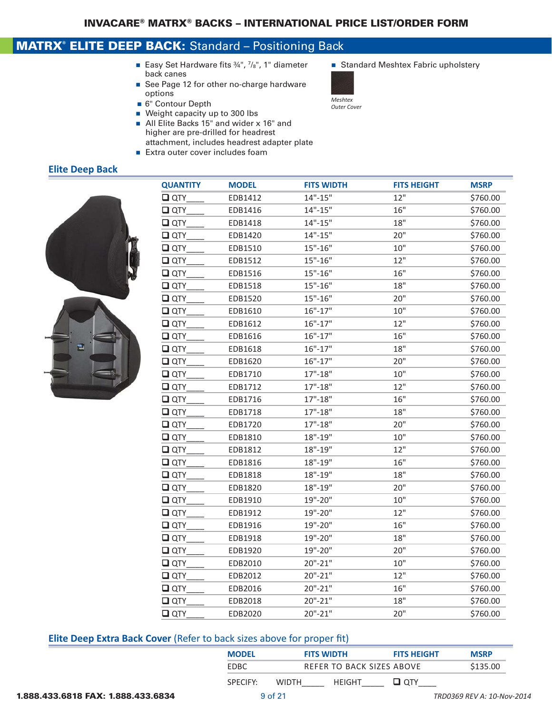### MATRX® ELITE DEEP BACK: Standard – Positioning Back

- Easy Set Hardware fits 34", 7/8", 1" diameter Standard Meshtex Fabric upholstery back canes
- See Page 12 for other no-charge hardware options
- 6" Contour Depth
- Weight capacity up to 300 lbs
- All Elite Backs 15" and wider x 16" and higher are pre-drilled for headrest attachment, includes headrest adapter plate
- $\blacksquare$  Extra outer cover includes foam

### **Elite Deep Back**



| <b>QUANTITY</b> | <b>MODEL</b> | <b>FITS WIDTH</b> | <b>FITS HEIGHT</b> | <b>MSRP</b> |
|-----------------|--------------|-------------------|--------------------|-------------|
| $\square$ QTY   | EDB1412      | $14" - 15"$       | 12"                | \$760.00    |
| $\square$ QTY   | EDB1416      | $14" - 15"$       | 16"                | \$760.00    |
| $\Box$ QTY      | EDB1418      | $14" - 15"$       | 18"                | \$760.00    |
| $\square$ QTY   | EDB1420      | $14" - 15"$       | 20"                | \$760.00    |
| $\square$ QTY   | EDB1510      | $15" - 16"$       | 10"                | \$760.00    |
| $\square$ QTY   | EDB1512      | $15" - 16"$       | 12"                | \$760.00    |
| $\square$ QTY   | EDB1516      | $15" - 16"$       | 16"                | \$760.00    |
| $\square$ QTY   | EDB1518      | $15" - 16"$       | 18"                | \$760.00    |
| $\square$ QTY   | EDB1520      | $15" - 16"$       | 20"                | \$760.00    |
| $\square$ QTY   | EDB1610      | $16" - 17"$       | 10"                | \$760.00    |
| $\square$ QTY   | EDB1612      | $16" - 17"$       | 12"                | \$760.00    |
| $\Box$ QTY      | EDB1616      | $16" - 17"$       | 16"                | \$760.00    |
| $\square$ QTY   | EDB1618      | $16" - 17"$       | 18"                | \$760.00    |
| $\square$ QTY   | EDB1620      | $16" - 17"$       | 20"                | \$760.00    |
| $\Box$ QTY      | EDB1710      | $17" - 18"$       | 10"                | \$760.00    |
| $\square$ QTY   | EDB1712      | $17" - 18"$       | 12"                | \$760.00    |
| $\square$ QTY   | EDB1716      | $17" - 18"$       | 16"                | \$760.00    |
| $\square$ QTY   | EDB1718      | $17" - 18"$       | 18"                | \$760.00    |
| $\Box$ QTY      | EDB1720      | $17" - 18"$       | 20"                | \$760.00    |
| $\square$ QTY   | EDB1810      | $18" - 19"$       | 10"                | \$760.00    |
| $\Box$ QTY      | EDB1812      | 18"-19"           | 12"                | \$760.00    |
| $\square$ QTY   | EDB1816      | 18"-19"           | 16"                | \$760.00    |
| $\square$ QTY   | EDB1818      | 18"-19"           | 18"                | \$760.00    |
| $\square$ QTY   | EDB1820      | $18" - 19"$       | 20"                | \$760.00    |
| $\square$ QTY   | EDB1910      | 19"-20"           | 10"                | \$760.00    |
| $\square$ QTY   | EDB1912      | 19"-20"           | 12"                | \$760.00    |
| $\Box$ QTY      | EDB1916      | 19"-20"           | 16"                | \$760.00    |
| $\square$ QTY   | EDB1918      | 19"-20"           | 18"                | \$760.00    |
| $\square$ QTY   | EDB1920      | 19"-20"           | 20"                | \$760.00    |
| $\Box$ QTY      | EDB2010      | $20" - 21"$       | 10"                | \$760.00    |
| $\square$ QTY   | EDB2012      | $20" - 21"$       | 12"                | \$760.00    |
| $\square$ QTY   | EDB2016      | $20" - 21"$       | 16"                | \$760.00    |
| $\square$ QTY   | EDB2018      | $20" - 21"$       | 18"                | \$760.00    |
| $\Box$ QTY      | EDB2020      | $20" - 21"$       | 20"                | \$760.00    |

#### **Elite Deep Extra Back Cover** (Refer to back sizes above for proper fit)

| <b>MODEL</b>         | <b>FITS WIDTH</b>             | <b>FITS HEIGHT</b> | <b>MSRP</b> |
|----------------------|-------------------------------|--------------------|-------------|
| FDBC.                | REFER TO BACK SIZES ABOVE     |                    | \$135.00    |
| SPECIEY <sup>.</sup> | <b>HFIGHT</b><br><b>WIDTH</b> | ⊔ отү              |             |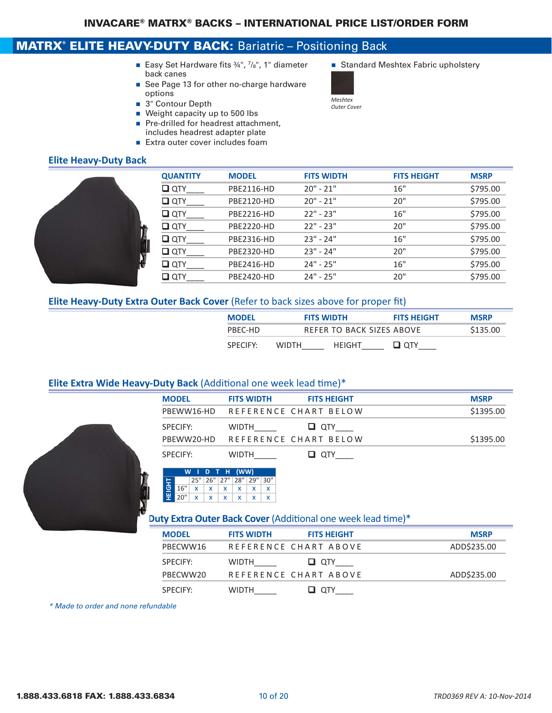## MATRX® ELITE HEAVY-DUTY BACK: Bariatric - Positioning Back

- Easy Set Hardware fits 34", 7/8", 1" diameter Standard Meshtex Fabric upholstery back canes
- See Page 13 for other no-charge hardware options
- 3" Contour Depth
- $\blacksquare$  Weight capacity up to 500 lbs
- Pre-drilled for headrest attachment, includes headrest adapter plate
- Extra outer cover includes foam

### **Elite Heavy‐Duty Back**



| <b>QUANTITY</b> | <b>MODEL</b> | <b>FITS WIDTH</b> | <b>FITS HEIGHT</b> | <b>MSRP</b> |
|-----------------|--------------|-------------------|--------------------|-------------|
| $\square$ QTY   | PBE2116-HD   | $20" - 21"$       | 16"                | \$795.00    |
| $\square$ QTY   | PBE2120-HD   | $20" - 21"$       | 20"                | \$795.00    |
| $\square$ QTY   | PBE2216-HD   | $22" - 23"$       | 16"                | \$795.00    |
| $\square$ QTY   | PBE2220-HD   | $22" - 23"$       | 20"                | \$795.00    |
| $\square$ QTY   | PBE2316-HD   | $23" - 24"$       | 16"                | \$795.00    |
| $\square$ QTY   | PBE2320-HD   | $23" - 24"$       | 20"                | \$795.00    |
| $\square$ QTY   | PBE2416-HD   | $24" - 25"$       | 16"                | \$795.00    |
| ⊔ отү           | PBE2420-HD   | $24" - 25"$       | 20"                | \$795.00    |
|                 |              |                   |                    |             |

#### **Elite Heavy‐Duty Extra Outer Back Cover** (Refer to back sizes above for proper fit)

| <b>MODEL</b>         | <b>FITS WIDTH</b>      | <b>FITS HEIGHT</b>        | <b>MSRP</b> |
|----------------------|------------------------|---------------------------|-------------|
| PBFC-HD              |                        | REFER TO BACK SIZES ABOVE | \$135.00    |
| SPECIEY <sup>.</sup> | HFIGHT<br><b>WIDTH</b> | ⊔ отү                     |             |

#### **Elite Extra Wide Heavy‐Duty Back** (Additional one week lead time)\*



| <b>MODEL</b>    | <b>FITS WIDTH</b>                | <b>FITS HEIGHT</b> | <b>MSRP</b> |
|-----------------|----------------------------------|--------------------|-------------|
|                 | PBEWW16-HD REFERENCE CHART BELOW |                    | \$1395.00   |
| <b>SPECIFY:</b> | <b>WIDTH</b>                     | $\Box$ $\Box$      |             |
|                 | PBEWW20-HD REFERENCE CHART BELOW |                    | \$1395.00   |
| <b>SPECIFY:</b> | <b>WIDTH</b>                     | $\Box$ $\alpha$ TY |             |



#### **Duty Extra Outer Back Cover** (Additional one week lead time)\*

| <b>MODEL</b> | <b>FITS WIDTH</b> | <b>FITS HEIGHT</b>    | <b>MSRP</b> |
|--------------|-------------------|-----------------------|-------------|
| PBECWW16     |                   | REFERENCE CHART ABOVE | ADD\$235.00 |
| SPECIFY:     | <b>WIDTH</b>      | U QTY                 |             |
| PRFCWW20     |                   | REFERENCE CHART ABOVE | ADD\$235.00 |
| SPECIFY:     | <b>WIDTH</b>      |                       |             |

*\* Made to order and none refundable*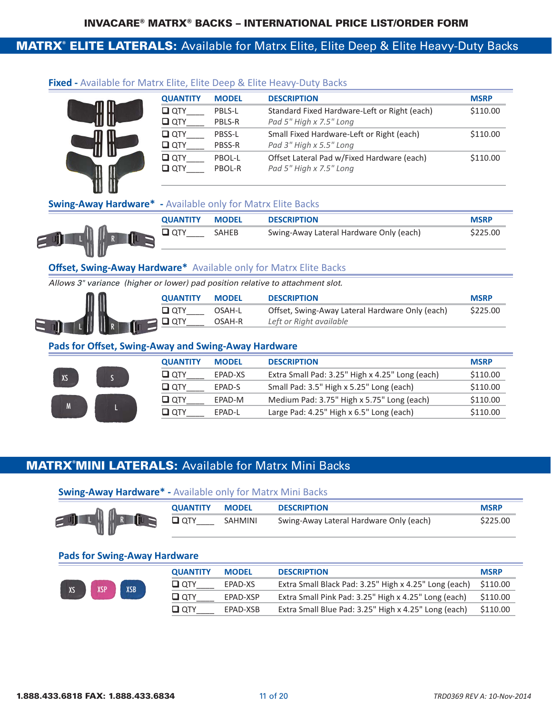### MATRX® ELITE LATERALS: Available for Matrx Elite, Elite Deep & Elite Heavy-Duty Backs

|   | <b>QUANTITY</b> | <b>MODEL</b>  | <b>DESCRIPTION</b>                           | <b>MSRP</b> |
|---|-----------------|---------------|----------------------------------------------|-------------|
| Ш | $\square$ QTY   | PBLS-L        | Standard Fixed Hardware-Left or Right (each) | \$110.00    |
|   | $\square$ QTY   | PBLS-R        | Pad 5" High x 7.5" Long                      |             |
| I | $\Box$ QTY      | PBSS-L        | Small Fixed Hardware-Left or Right (each)    | \$110.00    |
|   | $Q$ QTY         | <b>PBSS-R</b> | Pad 3" High x 5.5" Long                      |             |
|   | ◘ отү           | PBOL-L        | Offset Lateral Pad w/Fixed Hardware (each)   | \$110.00    |
|   | $\Box$ QTY      | PBOL-R        | Pad 5" High x 7.5" Long                      |             |
|   |                 |               |                                              |             |

#### **Fixed ‐** Available for Matrx Elite, Elite Deep & Elite Heavy‐Duty Backs

#### **Swing‐Away Hardware\* ‐** Available only for Matrx Elite Backs

| <b>QUANTITY</b> | <b>MODEL</b> | <b>DESCRIPTION</b>                      | <b>MSRP</b> |
|-----------------|--------------|-----------------------------------------|-------------|
|                 | SAHEB        | Swing-Away Lateral Hardware Only (each) | \$225.00    |

#### **Offset, Swing-Away Hardware\*** Available only for Matrx Elite Backs

*Allows 3" variance (higher or lower) pad position relative to attachment slot.* 

| 00 |    | <b>OUANTITY</b> | <b>MODEL</b> | <b>DESCRIPTION</b>                              | <b>MSRP</b> |
|----|----|-----------------|--------------|-------------------------------------------------|-------------|
|    |    |                 | ገSAH-L       | Offset, Swing-Away Lateral Hardware Only (each) | \$225.00    |
| d  | II |                 | OSAH-R       | Left or Right available                         |             |

#### **Pads for Offset, Swing‐Away and Swing‐Away Hardware**

| <b>MSRP</b> |
|-------------|
|             |
| \$110.00    |
| \$110.00    |
| \$110.00    |
| \$110.00    |
|             |

### MATRX® MINI LATERALS: Available for Matrx Mini Backs

#### **Swing‐Away Hardware\* ‐** Available only for Matrx Mini Backs

|                        | <b>OUANTITY</b> | <b>MODEL</b>   | <b>DESCRIPTION</b>                      | <b>MSRP</b> |
|------------------------|-----------------|----------------|-----------------------------------------|-------------|
| $=$ U] $\sqrt{ }$<br>Ш | <b>QTY</b>      | <b>SAHMINI</b> | Swing-Away Lateral Hardware Only (each) | \$225.00    |

#### **Pads for Swing‐Away Hardware**

|  | XSP<br><b>XSB</b> | <b>QUANTITY</b> | <b>MODEL</b> | <b>DESCRIPTION</b>                                              | <b>MSRP</b>                                          |          |
|--|-------------------|-----------------|--------------|-----------------------------------------------------------------|------------------------------------------------------|----------|
|  |                   | ⊔ отү           | EPAD-XS      | Extra Small Black Pad: 3.25" High x 4.25" Long (each) $$110.00$ |                                                      |          |
|  |                   | ⊔ отү           | EPAD-XSP     | Extra Small Pink Pad: 3.25" High x 4.25" Long (each)            | \$110.00                                             |          |
|  |                   |                 | oty <b>ت</b> | EPAD-XSB                                                        | Extra Small Blue Pad: 3.25" High x 4.25" Long (each) | \$110.00 |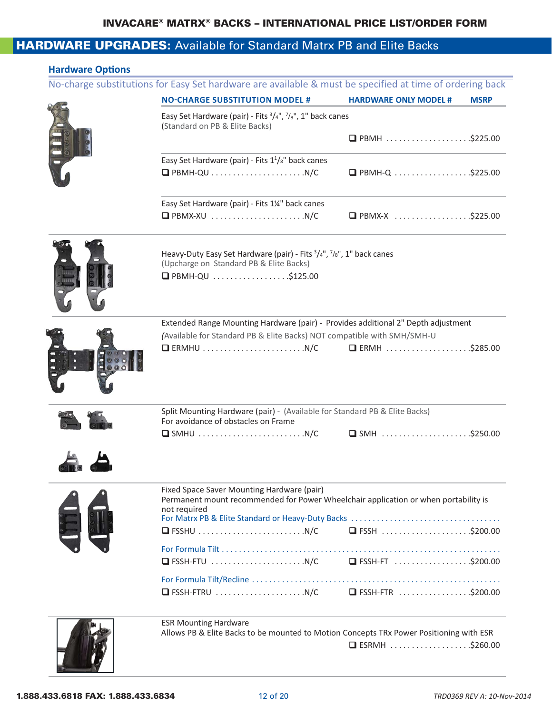### **HARDWARE UPGRADES:** Available for Standard Matrx PB and Elite Backs

| <b>NO-CHARGE SUBSTITUTION MODEL #</b>                                                                                             | <b>HARDWARE ONLY MODEL #</b>  | <b>MSRP</b> |
|-----------------------------------------------------------------------------------------------------------------------------------|-------------------------------|-------------|
|                                                                                                                                   |                               |             |
| Easy Set Hardware (pair) - Fits 3/4", 7/8", 1" back canes<br>(Standard on PB & Elite Backs)                                       |                               |             |
|                                                                                                                                   | □ PBMH \$225.00               |             |
|                                                                                                                                   |                               |             |
| Easy Set Hardware (pair) - Fits $1\frac{1}{8}$ " back canes                                                                       |                               |             |
|                                                                                                                                   |                               |             |
| Easy Set Hardware (pair) - Fits 1¼" back canes                                                                                    |                               |             |
|                                                                                                                                   | $\Box$ PBMX-X \$225.00        |             |
|                                                                                                                                   |                               |             |
| Heavy-Duty Easy Set Hardware (pair) - Fits $\frac{3}{4}$ ", $\frac{7}{8}$ ", 1" back canes                                        |                               |             |
| (Upcharge on Standard PB & Elite Backs)                                                                                           |                               |             |
| <b>O</b> PBMH-QU \$125.00                                                                                                         |                               |             |
|                                                                                                                                   |                               |             |
|                                                                                                                                   |                               |             |
| Extended Range Mounting Hardware (pair) - Provides additional 2" Depth adjustment                                                 |                               |             |
| (Available for Standard PB & Elite Backs) NOT compatible with SMH/SMH-U                                                           |                               |             |
| $\Box$ ERMHU $\ldots \ldots \ldots \ldots \ldots \ldots \ldots \ldots \ldots$ N/C                                                 |                               |             |
|                                                                                                                                   |                               |             |
|                                                                                                                                   |                               |             |
|                                                                                                                                   |                               |             |
|                                                                                                                                   |                               |             |
| Split Mounting Hardware (pair) - (Available for Standard PB & Elite Backs)                                                        |                               |             |
| For avoidance of obstacles on Frame                                                                                               |                               |             |
| $\Box$ SMHU $\ldots \ldots \ldots \ldots \ldots \ldots \ldots \ldots$ N/C                                                         | $\Box$ SMH $\ldots$ \$250.00  |             |
|                                                                                                                                   |                               |             |
|                                                                                                                                   |                               |             |
|                                                                                                                                   |                               |             |
| Fixed Space Saver Mounting Hardware (pair)<br>Permanent mount recommended for Power Wheelchair application or when portability is |                               |             |
| not required                                                                                                                      |                               |             |
|                                                                                                                                   |                               |             |
| $\Box$ FSSHU $\ldots \ldots \ldots \ldots \ldots \ldots \ldots \ldots \ldots$                                                     | $\Box$ FSSH $\ldots$ \$200.00 |             |
|                                                                                                                                   |                               |             |
|                                                                                                                                   |                               |             |
|                                                                                                                                   |                               |             |
|                                                                                                                                   |                               |             |
|                                                                                                                                   |                               |             |
| <b>ESR Mounting Hardware</b><br>Allows PB & Elite Backs to be mounted to Motion Concepts TRx Power Positioning with ESR           |                               |             |

 $\mathcal{L} = \mathcal{L} \cup \mathcal{L}$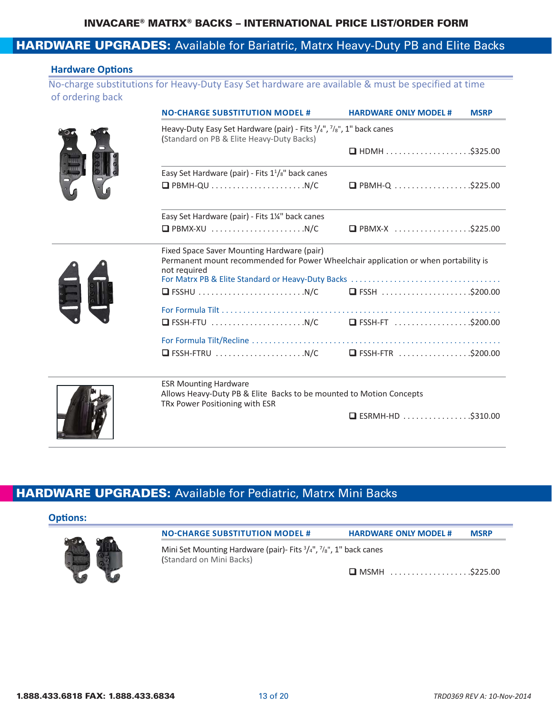### **HARDWARE UPGRADES:** Available for Bariatric, Matrx Heavy-Duty PB and Elite Backs

#### **Hardware Options**

No‐charge substitutions for Heavy‐Duty Easy Set hardware are available & must be specified at time of ordering back

| <b>NO-CHARGE SUBSTITUTION MODEL#</b>                                                                                                              | <b>HARDWARE ONLY MODEL #</b><br><b>MSRP</b> |
|---------------------------------------------------------------------------------------------------------------------------------------------------|---------------------------------------------|
| Heavy-Duty Easy Set Hardware (pair) - Fits $\frac{3}{4}$ ", $\frac{7}{8}$ ", 1" back canes<br>(Standard on PB & Elite Heavy-Duty Backs)           |                                             |
|                                                                                                                                                   |                                             |
| Easy Set Hardware (pair) - Fits $1\frac{1}{s}$ " back canes                                                                                       |                                             |
|                                                                                                                                                   |                                             |
| Easy Set Hardware (pair) - Fits 1¼" back canes                                                                                                    |                                             |
|                                                                                                                                                   | $\Box$ PBMX-X \$225.00                      |
| Fixed Space Saver Mounting Hardware (pair)<br>Permanent mount recommended for Power Wheelchair application or when portability is<br>not required |                                             |
|                                                                                                                                                   |                                             |
|                                                                                                                                                   |                                             |
|                                                                                                                                                   |                                             |
|                                                                                                                                                   |                                             |
|                                                                                                                                                   |                                             |
| <b>ESR Mounting Hardware</b><br>Allows Heavy-Duty PB & Elite Backs to be mounted to Motion Concepts<br>TRx Power Positioning with ESR             |                                             |
|                                                                                                                                                   | $\Box$ ESRMH-HD \$310.00                    |

### HARDWARE UPGRADES: Available for Pediatric, Matrx Mini Backs

#### **Options:**



Mini Set Mounting Hardware (pair)- Fits  $\frac{3}{4}$ ",  $\frac{7}{8}$ ", 1" back canes (Standard on Mini Backs)

**NO-CHARGE SUBSTITUTION MODEL # HARDWARE ONLY MODEL # MSRP**

 $\Box$  MSMH  $\ldots$ ...............\$225.00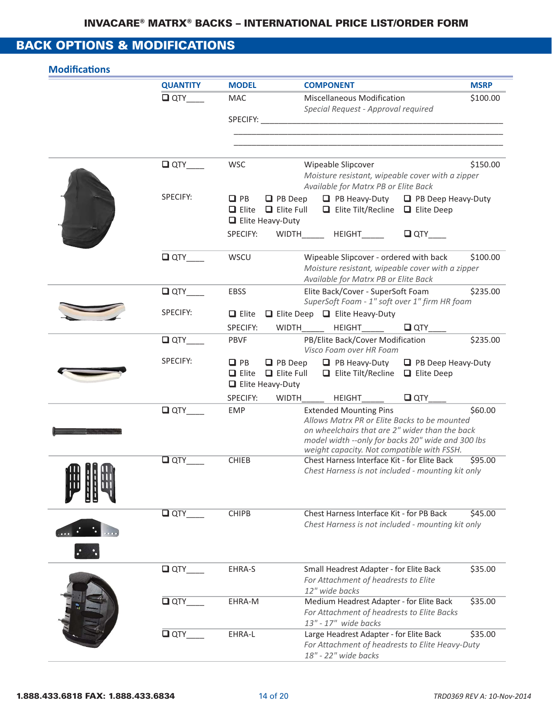## BACK OPTIONS & MODIFICATIONS

|        | <b>QUANTITY</b> | <b>MODEL</b>                                                                             | <b>COMPONENT</b>                                                                                                                                                                                                                    | <b>MSRP</b>               |
|--------|-----------------|------------------------------------------------------------------------------------------|-------------------------------------------------------------------------------------------------------------------------------------------------------------------------------------------------------------------------------------|---------------------------|
|        | $\Box$ QTY      | MAC                                                                                      | <b>Miscellaneous Modification</b><br>Special Request - Approval required                                                                                                                                                            | \$100.00                  |
|        |                 |                                                                                          |                                                                                                                                                                                                                                     |                           |
|        | QTY             | <b>WSC</b>                                                                               | Wipeable Slipcover<br>Moisture resistant, wipeable cover with a zipper<br>Available for Matrx PB or Elite Back                                                                                                                      | \$150.00                  |
|        | SPECIFY:        | $\Box$ PB<br>$\Box$ PB Deep<br>$\Box$ Elite $\Box$ Elite Full<br>$\Box$ Elite Heavy-Duty | $\Box$ PB Heavy-Duty $\Box$ PB Deep Heavy-Duty<br>$\Box$ Elite Tilt/Recline $\Box$ Elite Deep                                                                                                                                       |                           |
|        |                 | SPECIFY:                                                                                 | $\Box$ QTY<br>WIDTH_______ HEIGHT______                                                                                                                                                                                             |                           |
|        | $\Box$ QTY      | WSCU                                                                                     | Wipeable Slipcover - ordered with back<br>Moisture resistant, wipeable cover with a zipper<br>Available for Matrx PB or Elite Back                                                                                                  | \$100.00                  |
|        | $\Box$ QTY      | <b>EBSS</b>                                                                              | Elite Back/Cover - SuperSoft Foam<br>SuperSoft Foam - 1" soft over 1" firm HR foam                                                                                                                                                  | \$235.00                  |
|        | SPECIFY:        | $\Box$ Elite                                                                             | $\Box$ Elite Deep $\Box$ Elite Heavy-Duty                                                                                                                                                                                           |                           |
|        |                 | SPECIFY:                                                                                 | WIDTH HEIGHT<br>$\square$ QTY                                                                                                                                                                                                       |                           |
|        | $\Box$ QTY      | <b>PBVF</b>                                                                              | PB/Elite Back/Cover Modification<br>Visco Foam over HR Foam                                                                                                                                                                         | \$235.00                  |
|        | SPECIFY:        | $\Box$ PB<br>$\Box$ PB Deep<br>$\Box$ Elite $\Box$ Elite Full<br>$\Box$ Elite Heavy-Duty | $\Box$ PB Heavy-Duty<br>$\Box$ Elite Tilt/Recline $\Box$ Elite Deep                                                                                                                                                                 | $\Box$ PB Deep Heavy-Duty |
|        |                 | SPECIFY:                                                                                 | $\Box$ QTY<br>WIDTH<br><b>HEIGHT</b>                                                                                                                                                                                                |                           |
|        | $\square$ QTY   | <b>EMP</b>                                                                               | <b>Extended Mounting Pins</b><br>Allows Matrx PR or Elite Backs to be mounted<br>on wheelchairs that are 2" wider than the back<br>model width -- only for backs 20" wide and 300 lbs<br>weight capacity. Not compatible with FSSH. | \$60.00                   |
| m 88 m | $\square$ QTY   | <b>CHIEB</b>                                                                             | Chest Harness Interface Kit - for Elite Back<br>Chest Harness is not included - mounting kit only                                                                                                                                   | \$95.00                   |
|        | $\Box$ QTY      | <b>CHIPB</b>                                                                             | Chest Harness Interface Kit - for PB Back<br>Chest Harness is not included - mounting kit only                                                                                                                                      | \$45.00                   |
|        | $\Box$ QTY      | EHRA-S                                                                                   | Small Headrest Adapter - for Elite Back<br>For Attachment of headrests to Elite<br>12" wide backs                                                                                                                                   | \$35.00                   |
|        | $\Box$ QTY      | EHRA-M                                                                                   | Medium Headrest Adapter - for Elite Back<br>For Attachment of headrests to Elite Backs<br>13" - 17" wide backs                                                                                                                      | \$35.00                   |
|        | $\Box$ QTY      | EHRA-L                                                                                   | Large Headrest Adapter - for Elite Back<br>For Attachment of headrests to Elite Heavy-Duty<br>18" - 22" wide backs                                                                                                                  | \$35.00                   |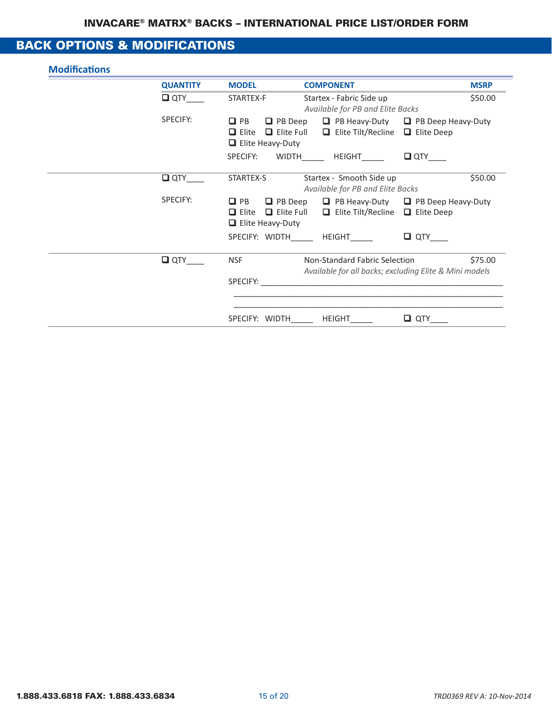### BACK OPTIONS & MODIFICATIONS

| <b>QUANTITY</b> | <b>MODEL</b>                                         | <b>COMPONENT</b>                                                                                                               |            | <b>MSRP</b> |
|-----------------|------------------------------------------------------|--------------------------------------------------------------------------------------------------------------------------------|------------|-------------|
| $\square$ QTY   | STARTEX-F                                            | Startex - Fabric Side up<br>Available for PB and Elite Backs                                                                   |            | \$50.00     |
| SPECIFY:        | $\Box$ PB<br>$\Box$ Elite<br>$\Box$ Elite Heavy-Duty | $\Box$ PB Deep $\Box$ PB Heavy-Duty $\Box$ PB Deep Heavy-Duty<br>$\Box$ Elite Full $\Box$ Elite Tilt/Recline $\Box$ Elite Deep |            |             |
|                 |                                                      | SPECIFY: WIDTH HEIGHT DQTY                                                                                                     |            |             |
| $\square$ QTY   | STARTEX-S                                            | Startex - Smooth Side up<br>Available for PB and Elite Backs                                                                   |            | \$50.00     |
| SPECIFY:        | $\Box$ PB<br>$\Box$ Elite<br>$\Box$ Elite Heavy-Duty | $\Box$ PB Deep $\Box$ PB Heavy-Duty $\Box$ PB Deep Heavy-Duty<br>$\Box$ Elite Full $\Box$ Elite Tilt/Recline $\Box$ Elite Deep |            |             |
|                 |                                                      | SPECIFY: WIDTH HEIGHT                                                                                                          | $\Box$ QTY |             |
| $\Box$ QTY      | <b>NSF</b>                                           | Non-Standard Fabric Selection<br>Available for all backs; excluding Elite & Mini models                                        |            | \$75.00     |
|                 | SPECIFY:                                             |                                                                                                                                |            |             |
|                 | SPECIFY: WIDTH                                       | HEIGHT                                                                                                                         | $\Box$ QTY |             |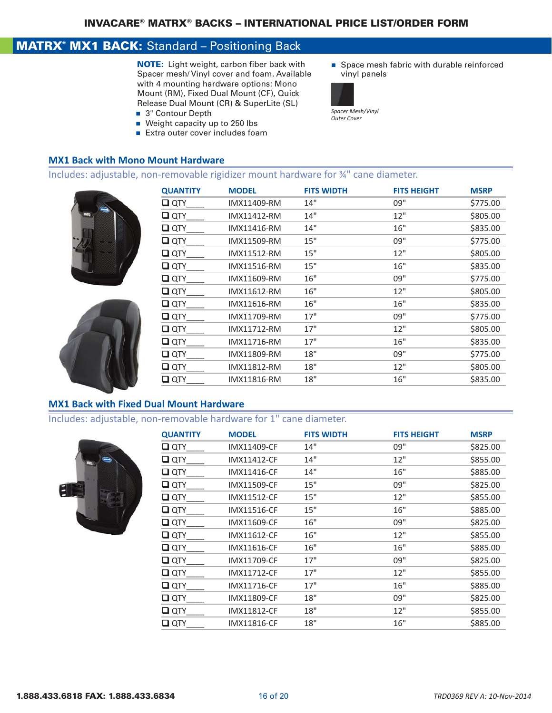### **MATRX<sup>®</sup> MX1 BACK:** Standard - Positioning Back

NOTE: Light weight, carbon fiber back with Spacer mesh/ Vinyl cover and foam. Available with 4 mounting hardware options: Mono Mount (RM), Fixed Dual Mount (CF), Quick Release Dual Mount (CR) & SuperLite (SL)

- 3" Contour Depth
- $\blacksquare$  Weight capacity up to 250 lbs
- Extra outer cover includes foam

# **MX1 Back with Mono Mount Hardware**

#### Includes: adjustable, non‐removable rigidizer mount hardware for ¾" cane diameter.





| <b>QUANTITY</b> | <b>MODEL</b> | <b>FITS WIDTH</b> | <b>FITS HEIGHT</b> | <b>MSRP</b> |
|-----------------|--------------|-------------------|--------------------|-------------|
| $\square$ QTY   | IMX11409-RM  | 14"               | 09"                | \$775.00    |
| $\square$ QTY   | IMX11412-RM  | 14"               | 12"                | \$805.00    |
| $\square$ QTY   | IMX11416-RM  | 14"               | 16"                | \$835.00    |
| $\square$ QTY   | IMX11509-RM  | 15"               | 09"                | \$775.00    |
| $\square$ QTY   | IMX11512-RM  | 15"               | 12"                | \$805.00    |
| $\square$ QTY   | IMX11516-RM  | 15"               | 16"                | \$835.00    |
| $\square$ QTY   | IMX11609-RM  | 16"               | 09"                | \$775.00    |
| $\square$ QTY   | IMX11612-RM  | 16"               | 12"                | \$805.00    |
| $\square$ QTY   | IMX11616-RM  | 16"               | 16"                | \$835.00    |
| $\square$ QTY   | IMX11709-RM  | 17"               | 09"                | \$775.00    |
| $\square$ QTY   | IMX11712-RM  | 17"               | 12"                | \$805.00    |
| $\square$ QTY   | IMX11716-RM  | 17"               | 16"                | \$835.00    |
| $\square$ QTY   | IMX11809-RM  | 18"               | 09"                | \$775.00    |
| $\square$ QTY   | IMX11812-RM  | 18"               | 12"                | \$805.00    |
| $\Box$ QTY      | IMX11816-RM  | 18"               | 16"                | \$835.00    |
|                 |              |                   |                    |             |

#### **MX1 Back with Fixed Dual Mount Hardware**

## Includes: adjustable, non‐removable hardware for 1" cane diameter.



| <b>QUANTITY</b> | <b>MODEL</b>       | <b>FITS WIDTH</b> | <b>FITS HEIGHT</b> | <b>MSRP</b> |
|-----------------|--------------------|-------------------|--------------------|-------------|
| $\Box$ QTY      | <b>IMX11409-CF</b> | 14"               | 09"                | \$825.00    |
| $\square$ QTY   | <b>IMX11412-CF</b> | 14"               | 12"                | \$855.00    |
| $\square$ QTY   | <b>IMX11416-CF</b> | 14"               | 16"                | \$885.00    |
| $\Box$ QTY      | <b>IMX11509-CF</b> | 15"               | 09"                | \$825.00    |
| $\square$ QTY   | <b>IMX11512-CF</b> | 15"               | 12"                | \$855.00    |
| $\square$ QTY   | <b>IMX11516-CF</b> | 15"               | 16"                | \$885.00    |
| $\Box$ QTY      | IMX11609-CF        | 16"               | 09"                | \$825.00    |
| $\Box$ QTY      | <b>IMX11612-CF</b> | 16"               | 12"                | \$855.00    |
| $\Box$ QTY      | IMX11616-CF        | 16"               | 16"                | \$885.00    |
| $\Box$ QTY      | IMX11709-CF        | 17"               | 09"                | \$825.00    |
| $\square$ QTY   | <b>IMX11712-CF</b> | 17"               | 12"                | \$855.00    |
| $\Box$ QTY      | <b>IMX11716-CF</b> | 17"               | 16"                | \$885.00    |
| $\Box$ QTY      | <b>IMX11809-CF</b> | 18"               | 09"                | \$825.00    |
| $\square$ QTY   | <b>IMX11812-CF</b> | 18"               | 12"                | \$855.00    |
| $\Box$ QTY      | <b>IMX11816-CF</b> | 18"               | 16"                | \$885.00    |

 $\quad \blacksquare$  Space mesh fabric with durable reinforced vinyl panels



*Spacer Mesh/Vinyl Outer Cover*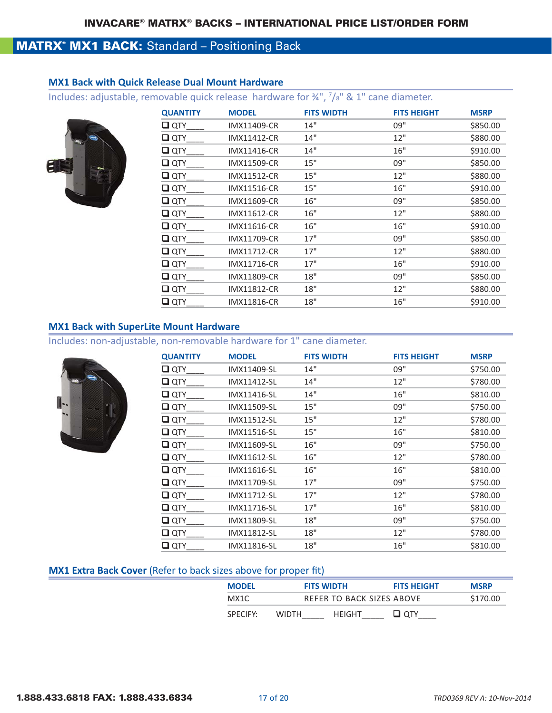### **MATRX<sup>®</sup> MX1 BACK:** Standard - Positioning Back

#### **MX1 Back with Quick Release Dual Mount Hardware**

Includes: adjustable, removable quick release hardware for  $\frac{3}{4}$ ,  $\frac{7}{8}$  & 1" cane diameter.



| <b>QUANTITY</b> | <b>MODEL</b>       | <b>FITS WIDTH</b> | <b>FITS HEIGHT</b> | <b>MSRP</b> |
|-----------------|--------------------|-------------------|--------------------|-------------|
| $\square$ QTY   | IMX11409-CR        | 14"               | 09"                | \$850.00    |
| $\square$ QTY   | <b>IMX11412-CR</b> | 14"               | 12"                | \$880.00    |
| $\Box$ QTY      | IMX11416-CR        | 14"               | 16"                | \$910.00    |
| $\Box$ QTY      | IMX11509-CR        | 15"               | 09"                | \$850.00    |
| $\Box$ QTY      | <b>IMX11512-CR</b> | 15"               | 12"                | \$880.00    |
| $\Box$ QTY      | IMX11516-CR        | 15"               | 16"                | \$910.00    |
| $\Box$ QTY      | IMX11609-CR        | 16"               | 09"                | \$850.00    |
| $\Box$ QTY      | <b>IMX11612-CR</b> | 16"               | 12"                | \$880.00    |
| $\Box$ QTY      | IMX11616-CR        | 16"               | 16"                | \$910.00    |
| $\Box$ QTY      | IMX11709-CR        | 17"               | 09"                | \$850.00    |
| $\Box$ QTY      | <b>IMX11712-CR</b> | 17"               | 12"                | \$880.00    |
| $\Box$ QTY      | IMX11716-CR        | 17"               | 16"                | \$910.00    |
| $\Box$ QTY      | <b>IMX11809-CR</b> | 18"               | 09"                | \$850.00    |
| $\Box$ QTY      | <b>IMX11812-CR</b> | 18"               | 12"                | \$880.00    |
| $\Box$ QTY      | <b>IMX11816-CR</b> | 18"               | 16"                | \$910.00    |

#### **MX1 Back with SuperLite Mount Hardware**

Includes: non‐adjustable, non‐removable hardware for 1" cane diameter.

| <b>QUANTITY</b> | <b>MODEL</b>       | <b>FITS WIDTH</b> | <b>FITS HEIGHT</b> | <b>MSRP</b> |
|-----------------|--------------------|-------------------|--------------------|-------------|
| $\square$ QTY   | IMX11409-SL        | 14"               | 09"                | \$750.00    |
| $\square$ QTY   | IMX11412-SL        | 14"               | 12"                | \$780.00    |
| $\square$ QTY   | IMX11416-SL        | 14"               | 16"                | \$810.00    |
| $\square$ QTY   | IMX11509-SL        | 15"               | 09"                | \$750.00    |
| $\square$ QTY   | IMX11512-SL        | 15"               | 12"                | \$780.00    |
| $\square$ QTY   | <b>IMX11516-SL</b> | 15"               | 16"                | \$810.00    |
| $\square$ QTY   | IMX11609-SL        | 16"               | 09"                | \$750.00    |
| $\square$ QTY   | IMX11612-SL        | 16"               | 12"                | \$780.00    |
| $\square$ QTY   | IMX11616-SL        | 16"               | 16"                | \$810.00    |
| $\Box$ QTY      | IMX11709-SL        | 17"               | 09"                | \$750.00    |
| $\square$ QTY   | IMX11712-SL        | 17"               | 12"                | \$780.00    |
| $\Box$ QTY      | IMX11716-SL        | 17"               | 16"                | \$810.00    |
| $\Box$ QTY      | IMX11809-SL        | 18"               | 09"                | \$750.00    |
| $\square$ QTY   | IMX11812-SL        | 18"               | 12"                | \$780.00    |
| $\square$ QTY   | <b>IMX11816-SL</b> | 18"               | 16"                | \$810.00    |

#### **MX1 Extra Back Cover** (Refer to back sizes above for proper fit)

| <b>MODEL</b> |              | <b>FITS WIDTH</b>         | <b>FITS HEIGHT</b> | <b>MSRP</b> |
|--------------|--------------|---------------------------|--------------------|-------------|
| MX1C         |              | REFER TO BACK SIZES ABOVE |                    | \$170.00    |
| SPECIFY:     | <b>WIDTH</b> | <b>HFIGHT</b>             | ⊔ отү              |             |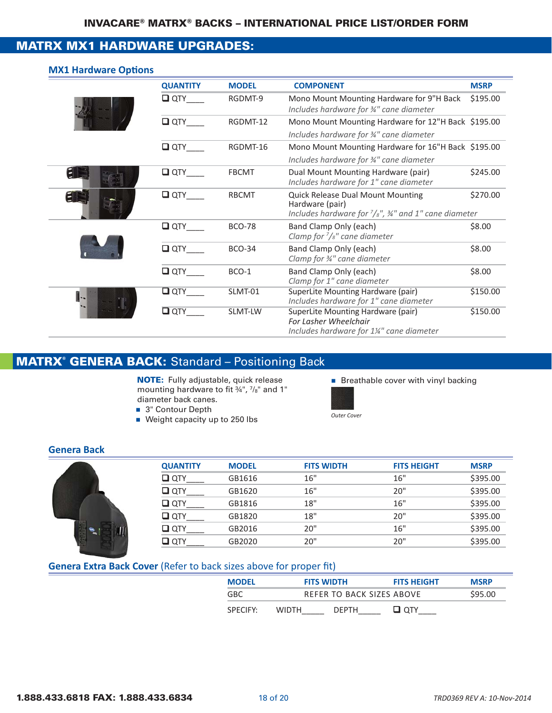### MATRX MX1 HARDWARE UPGRADES:

#### **MX1 Hardware Options**

| <b>QUANTITY</b> | <b>MODEL</b>  | <b>COMPONENT</b>                                                                                                                           | <b>MSRP</b> |
|-----------------|---------------|--------------------------------------------------------------------------------------------------------------------------------------------|-------------|
| $\Box$ QTY      | RGDMT-9       | Mono Mount Mounting Hardware for 9"H Back<br>Includes hardware for 3/4" cane diameter                                                      | \$195.00    |
| $\Box$ QTY      | RGDMT-12      | Mono Mount Mounting Hardware for 12"H Back \$195.00<br>Includes hardware for 3/4" cane diameter                                            |             |
| $\Box$ QTY      | RGDMT-16      | Mono Mount Mounting Hardware for 16"H Back \$195.00<br>Includes hardware for 3/4" cane diameter                                            |             |
| $\Box$ QTY      | <b>FBCMT</b>  | Dual Mount Mounting Hardware (pair)<br>Includes hardware for 1" cane diameter                                                              | \$245.00    |
| $\Box$ QTY      | <b>RBCMT</b>  | <b>Quick Release Dual Mount Mounting</b><br>Hardware (pair)<br>Includes hardware for $\frac{7}{8}$ ", $\frac{3}{4}$ " and 1" cane diameter | \$270.00    |
| $\Box$ QTY      | <b>BCO-78</b> | Band Clamp Only (each)<br>Clamp for $\frac{7}{s}$ " cane diameter                                                                          | \$8.00      |
| $\Box$ QTY      | <b>BCO-34</b> | Band Clamp Only (each)<br>Clamp for 3/4" cane diameter                                                                                     | \$8.00      |
| $\Box$ QTY      | BCO-1         | Band Clamp Only (each)<br>Clamp for 1" cane diameter                                                                                       | \$8.00      |
| $\Box$ QTY      | SLMT-01       | SuperLite Mounting Hardware (pair)<br>Includes hardware for 1" cane diameter                                                               | \$150.00    |
| $\Box$ QTY      | SLMT-LW       | SuperLite Mounting Hardware (pair)<br>For Lasher Wheelchair<br>Includes hardware for 1¼" cane diameter                                     | \$150.00    |

### MATRX® GENERA BACK: Standard – Positioning Back

NOTE: Fully adjustable, quick release **notable** Breathable cover with vinyl backing mounting hardware to fit ¾", 7/8" and 1" diameter back canes.

- 3" Contour Depth
- **O** Control Depth cover<br>■ Weight capacity up to 250 lbs *Outer Cover*
- 



#### **Genera Back**

| <b>QUANTITY</b>    | <b>MODEL</b> | <b>FITS WIDTH</b> | <b>FITS HEIGHT</b> | <b>MSRP</b> |
|--------------------|--------------|-------------------|--------------------|-------------|
| $\Box$ QTY         | GB1616       | 16"               | 16"                | \$395.00    |
| $\Box$ QTY         | GB1620       | 16"               | 20"                | \$395.00    |
| $\Box$ QTY         | GB1816       | 18"               | 16"                | \$395.00    |
| $\Box$ QTY         | GB1820       | 18"               | 20"                | \$395.00    |
| $\Box$ QTY         | GB2016       | 20"               | 16"                | \$395.00    |
| $\Box$ $\alpha$ TY | GB2020       | 20"               | 20"                | \$395.00    |

#### **Genera Extra Back Cover** (Refer to back sizes above for proper fit)

| <b>MODEL</b>         |              | <b>FITS WIDTH</b> | <b>FITS HEIGHT</b>        | <b>MSRP</b> |
|----------------------|--------------|-------------------|---------------------------|-------------|
| GBC.                 |              |                   | REFER TO BACK SIZES ABOVE | \$95.00     |
| SPECIEY <sup>.</sup> | <b>WIDTH</b> | <b>DEPTH</b>      | ⊔ отү                     |             |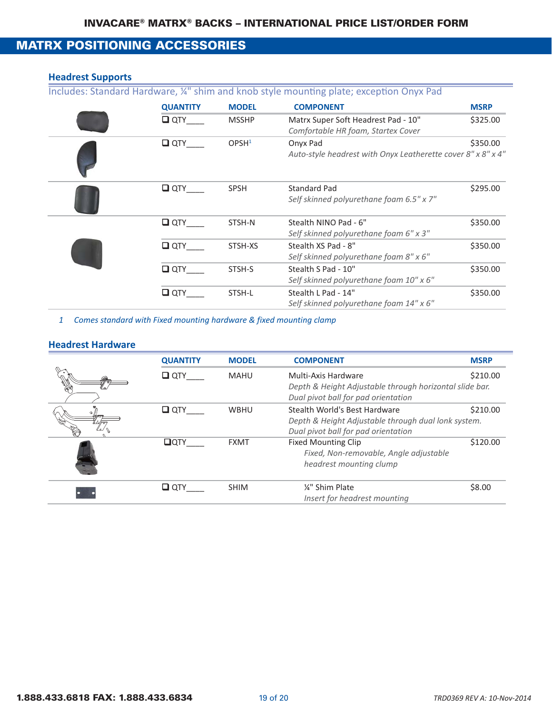### MATRX POSITIONING ACCESSORIES

#### **Headrest Supports**

Includes: Standard Hardware, ¼" shim and knob style mounting plate; exception Onyx Pad

| <b>QUANTITY</b> | <b>MODEL</b>      | <b>COMPONENT</b>                                                          | <b>MSRP</b> |
|-----------------|-------------------|---------------------------------------------------------------------------|-------------|
| $\square$ QTY   | <b>MSSHP</b>      | Matrx Super Soft Headrest Pad - 10"<br>Comfortable HR foam, Startex Cover | \$325.00    |
| $\square$ QTY   | OPSH <sup>1</sup> | Onyx Pad<br>Auto-style headrest with Onyx Leatherette cover 8" x 8" x 4"  | \$350.00    |
| $\Box$ QTY      | <b>SPSH</b>       | <b>Standard Pad</b><br>Self skinned polyurethane foam 6.5" x 7"           | \$295.00    |
| $\Box$ QTY      | STSH-N            | Stealth NINO Pad - 6"<br>Self skinned polyurethane foam 6" x 3"           | \$350.00    |
| $\square$ QTY   | STSH-XS           | Stealth XS Pad - 8"<br>Self skinned polyurethane foam 8" x 6"             | \$350.00    |
| $\Box$ OTY      | STSH-S            | Stealth S Pad - 10"<br>Self skinned polyurethane foam 10" x 6"            | \$350.00    |
| $\square$ QTY   | STSH-L            | Stealth L Pad - 14"<br>Self skinned polyurethane foam 14" x 6"            | \$350.00    |

*1 Comes standard with Fixed mounting hardware & fixed mounting clamp*

#### **Headrest Hardware**

|   | <b>QUANTITY</b> | <b>MODEL</b> | <b>COMPONENT</b>                                                                                                            | <b>MSRP</b> |
|---|-----------------|--------------|-----------------------------------------------------------------------------------------------------------------------------|-------------|
| P | $\Box$ QTY      | <b>MAHU</b>  | Multi-Axis Hardware<br>Depth & Height Adjustable through horizontal slide bar.<br>Dual pivot ball for pad orientation       | \$210.00    |
|   | $\Box$ QTY      | <b>WBHU</b>  | Stealth World's Best Hardware<br>Depth & Height Adjustable through dual lonk system.<br>Dual pivot ball for pad orientation | \$210.00    |
|   | $\Box$ OTY      | <b>FXMT</b>  | <b>Fixed Mounting Clip</b><br>Fixed, Non-removable, Angle adjustable<br>headrest mounting clump                             | \$120.00    |
|   | $\square$ QTY   | <b>SHIM</b>  | 1/4" Shim Plate<br>Insert for headrest mounting                                                                             | \$8.00      |